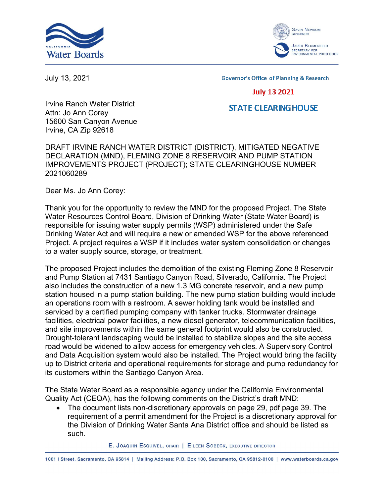



July 13, 2021

**Governor's Office of Planning & Research** 

## **July 13 2021**

## **STATE CLEARING HOUSE**

Irvine Ranch Water District Attn: Jo Ann Corey 15600 San Canyon Avenue Irvine, CA Zip 92618

DRAFT IRVINE RANCH WATER DISTRICT (DISTRICT), MITIGATED NEGATIVE DECLARATION (MND), FLEMING ZONE 8 RESERVOIR AND PUMP STATION IMPROVEMENTS PROJECT (PROJECT); STATE CLEARINGHOUSE NUMBER 2021060289

Dear Ms. Jo Ann Corey:

Thank you for the opportunity to review the MND for the proposed Project. The State Water Resources Control Board, Division of Drinking Water (State Water Board) is responsible for issuing water supply permits (WSP) administered under the Safe Drinking Water Act and will require a new or amended WSP for the above referenced Project. A project requires a WSP if it includes water system consolidation or changes to a water supply source, storage, or treatment.

The proposed Project includes the demolition of the existing Fleming Zone 8 Reservoir and Pump Station at 7431 Santiago Canyon Road, Silverado, California. The Project also includes the construction of a new 1.3 MG concrete reservoir, and a new pump station housed in a pump station building. The new pump station building would include an operations room with a restroom. A sewer holding tank would be installed and serviced by a certified pumping company with tanker trucks. Stormwater drainage facilities, electrical power facilities, a new diesel generator, telecommunication facilities, and site improvements within the same general footprint would also be constructed. Drought-tolerant landscaping would be installed to stabilize slopes and the site access road would be widened to allow access for emergency vehicles. A Supervisory Control and Data Acquisition system would also be installed. The Project would bring the facility up to District criteria and operational requirements for storage and pump redundancy for its customers within the Santiago Canyon Area.

The State Water Board as a responsible agency under the California Environmental Quality Act (CEQA), has the following comments on the District's draft MND:

· The document lists non-discretionary approvals on page 29, pdf page 39. The requirement of a permit amendment for the Project is a discretionary approval for the Division of Drinking Water Santa Ana District office and should be listed as such.

E. JOAQUIN ESQUIVEL, CHAIR | EILEEN SOBECK, EXECUTIVE DIRECTOR

1001 | Street, Sacramento, CA 95814 | Mailing Address: P.O. Box 100, Sacramento, CA 95812-0100 | www.waterboards.ca.gov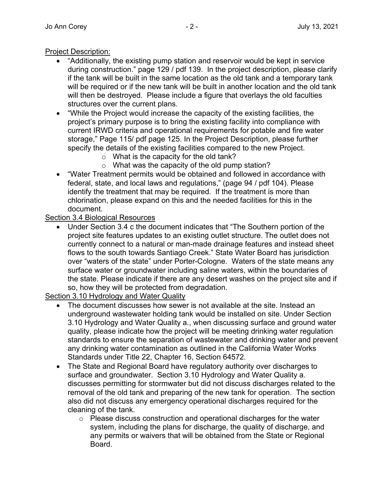## Project Description:

- "Additionally, the existing pump station and reservoir would be kept in service during construction." page 129 / pdf 139. In the project description, please clarify if the tank will be built in the same location as the old tank and a temporary tank will be required or if the new tank will be built in another location and the old tank will then be destroyed. Please include a figure that overlays the old faculties structures over the current plans.
- · "While the Project would increase the capacity of the existing facilities, the project's primary purpose is to bring the existing facility into compliance with current IRWD criteria and operational requirements for potable and fire water storage," Page 115/ pdf page 125. In the Project Description, please further specify the details of the existing facilities compared to the new Project.
	- o What is the capacity for the old tank?
	- o What was the capacity of the old pump station?
- · "Water Treatment permits would be obtained and followed in accordance with federal, state, and local laws and regulations," (page 94 / pdf 104). Please identify the treatment that may be required. If the treatment is more than chlorination, please expand on this and the needed facilities for this in the document.

Section 3.4 Biological Resources

· Under Section 3.4 c the document indicates that "The Southern portion of the project site features updates to an existing outlet structure. The outlet does not currently connect to a natural or man-made drainage features and instead sheet flows to the south towards Santiago Creek." State Water Board has jurisdiction over "waters of the state" under Porter-Cologne. Waters of the state means any surface water or groundwater including saline waters, within the boundaries of the state. Please indicate if there are any desert washes on the project site and if so, how they will be protected from degradation.

Section 3.10 Hydrology and Water Quality

- The document discusses how sewer is not available at the site. Instead an underground wastewater holding tank would be installed on site. Under Section 3.10 Hydrology and Water Quality a., when discussing surface and ground water quality, please indicate how the project will be meeting drinking water regulation standards to ensure the separation of wastewater and drinking water and prevent any drinking water contamination as outlined in the California Water Works Standards under Title 22, Chapter 16, Section 64572.
- · The State and Regional Board have regulatory authority over discharges to surface and groundwater. Section 3.10 Hydrology and Water Quality a. discusses permitting for stormwater but did not discuss discharges related to the removal of the old tank and preparing of the new tank for operation. The section also did not discuss any emergency operational discharges required for the cleaning of the tank.
	- o Please discuss construction and operational discharges for the water system, including the plans for discharge, the quality of discharge, and any permits or waivers that will be obtained from the State or Regional Board.